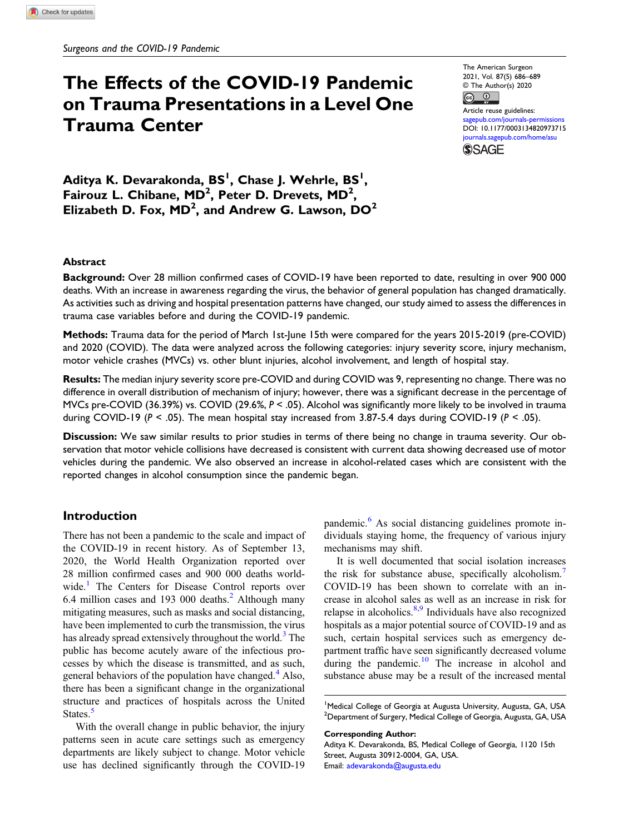# The Effects of the COVID-19 Pandemic on Trauma Presentations in a Level One Trauma Center

The American Surgeon 2021, Vol. 87(5) 686–689 © The Author(s) 2020  $\boxed{6}$   $\boxed{0}$ 

Article reuse guidelines: [sagepub.com/journals-permissions](https://us.sagepub.com/en-us/journals-permissions) DOI: [10.1177/0003134820973715](https://doi.org/10.1177/0003134820973715) [journals.sagepub.com/home/asu](https://journals.sagepub.com/home/asu)

**SSAGE** 

Aditya K. Devarakonda, BS<sup>I</sup>, Chase J. Wehrle, BS<sup>I</sup>, Fairouz L. Chibane,  $MD^2$ , Peter D. Drevets,  $MD^2$ , Elizabeth D. Fox,  $MD^2$ , and Andrew G. Lawson,  $DO^2$ 

### Abstract

Background: Over 28 million confirmed cases of COVID-19 have been reported to date, resulting in over 900 000 deaths. With an increase in awareness regarding the virus, the behavior of general population has changed dramatically. As activities such as driving and hospital presentation patterns have changed, our study aimed to assess the differences in trauma case variables before and during the COVID-19 pandemic.

Methods: Trauma data for the period of March 1st-June 15th were compared for the years 2015-2019 (pre-COVID) and 2020 (COVID). The data were analyzed across the following categories: injury severity score, injury mechanism, motor vehicle crashes (MVCs) vs. other blunt injuries, alcohol involvement, and length of hospital stay.

Results: The median injury severity score pre-COVID and during COVID was 9, representing no change. There was no difference in overall distribution of mechanism of injury; however, there was a significant decrease in the percentage of MVCs pre-COVID (36.39%) vs. COVID (29.6%,  $P < 0.05$ ). Alcohol was significantly more likely to be involved in trauma during COVID-19 ( $P < .05$ ). The mean hospital stay increased from 3.87-5.4 days during COVID-19 ( $P < .05$ ).

Discussion: We saw similar results to prior studies in terms of there being no change in trauma severity. Our observation that motor vehicle collisions have decreased is consistent with current data showing decreased use of motor vehicles during the pandemic. We also observed an increase in alcohol-related cases which are consistent with the reported changes in alcohol consumption since the pandemic began.

# Introduction

There has not been a pandemic to the scale and impact of the COVID-19 in recent history. As of September 13, 2020, the World Health Organization reported over 28 million confirmed cases and 900 000 deaths world-wide.<sup>[1](#page-2-0)</sup> The Centers for Disease Control reports over 6.4 million cases and 193 000 deaths. $<sup>2</sup>$  $<sup>2</sup>$  $<sup>2</sup>$  Although many</sup> mitigating measures, such as masks and social distancing, have been implemented to curb the transmission, the virus has already spread extensively throughout the world.<sup>[3](#page-2-2)</sup> The public has become acutely aware of the infectious processes by which the disease is transmitted, and as such, general behaviors of the population have changed. $4$  Also, there has been a significant change in the organizational structure and practices of hospitals across the United States.<sup>[5](#page-3-0)</sup>

With the overall change in public behavior, the injury patterns seen in acute care settings such as emergency departments are likely subject to change. Motor vehicle use has declined significantly through the COVID-19 pandemic.<sup>[6](#page-3-1)</sup> As social distancing guidelines promote individuals staying home, the frequency of various injury mechanisms may shift.

It is well documented that social isolation increases the risk for substance abuse, specifically alcoholism.<sup>[7](#page-3-2)</sup> COVID-19 has been shown to correlate with an increase in alcohol sales as well as an increase in risk for relapse in alcoholics.<sup>[8,](#page-3-3)[9](#page-3-4)</sup> Individuals have also recognized hospitals as a major potential source of COVID-19 and as such, certain hospital services such as emergency department traffic have seen significantly decreased volume during the pandemic. $10$  The increase in alcohol and substance abuse may be a result of the increased mental

#### Corresponding Author:

Aditya K. Devarakonda, BS, Medical College of Georgia, 1120 15th Street, Augusta 30912-0004, GA, USA. Email: [adevarakonda@augusta.edu](mailto:adevarakonda@augusta.edu)

<sup>&</sup>lt;sup>1</sup>Medical College of Georgia at Augusta University, Augusta, GA, USA <sup>2</sup> Department of Surgery, Medical College of Georgia, Augusta, GA, USA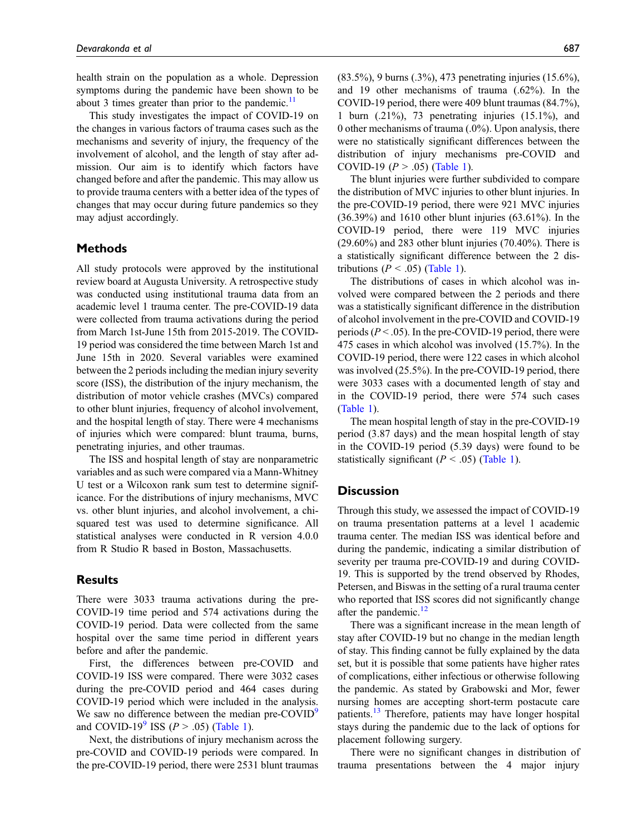health strain on the population as a whole. Depression symptoms during the pandemic have been shown to be about 3 times greater than prior to the pandemic.<sup>[11](#page-3-6)</sup>

This study investigates the impact of COVID-19 on the changes in various factors of trauma cases such as the mechanisms and severity of injury, the frequency of the involvement of alcohol, and the length of stay after admission. Our aim is to identify which factors have changed before and after the pandemic. This may allow us to provide trauma centers with a better idea of the types of changes that may occur during future pandemics so they may adjust accordingly.

# Methods

All study protocols were approved by the institutional review board at Augusta University. A retrospective study was conducted using institutional trauma data from an academic level 1 trauma center. The pre-COVID-19 data were collected from trauma activations during the period from March 1st-June 15th from 2015-2019. The COVID-19 period was considered the time between March 1st and June 15th in 2020. Several variables were examined between the 2 periods including the median injury severity score (ISS), the distribution of the injury mechanism, the distribution of motor vehicle crashes (MVCs) compared to other blunt injuries, frequency of alcohol involvement, and the hospital length of stay. There were 4 mechanisms of injuries which were compared: blunt trauma, burns, penetrating injuries, and other traumas.

The ISS and hospital length of stay are nonparametric variables and as such were compared via a Mann-Whitney U test or a Wilcoxon rank sum test to determine significance. For the distributions of injury mechanisms, MVC vs. other blunt injuries, and alcohol involvement, a chisquared test was used to determine significance. All statistical analyses were conducted in R version 4.0.0 from R Studio R based in Boston, Massachusetts.

### Results

There were 3033 trauma activations during the pre-COVID-19 time period and 574 activations during the COVID-19 period. Data were collected from the same hospital over the same time period in different years before and after the pandemic.

First, the differences between pre-COVID and COVID-19 ISS were compared. There were 3032 cases during the pre-COVID period and 464 cases during COVID-19 period which were included in the analysis. We saw no difference between the median pre-COVID<sup>[9](#page-3-4)</sup> and COVID-1[9](#page-3-4)<sup>9</sup> ISS ( $P > .05$ ) [\(Table 1\)](#page-2-4).

Next, the distributions of injury mechanism across the pre-COVID and COVID-19 periods were compared. In the pre-COVID-19 period, there were 2531 blunt traumas (83.5%), 9 burns (.3%), 473 penetrating injuries (15.6%), and 19 other mechanisms of trauma (.62%). In the COVID-19 period, there were 409 blunt traumas (84.7%), 1 burn (.21%), 73 penetrating injuries (15.1%), and 0 other mechanisms of trauma (.0%). Upon analysis, there were no statistically significant differences between the distribution of injury mechanisms pre-COVID and COVID-19 ( $P > .05$ ) [\(Table 1\)](#page-2-4).

The blunt injuries were further subdivided to compare the distribution of MVC injuries to other blunt injuries. In the pre-COVID-19 period, there were 921 MVC injuries (36.39%) and 1610 other blunt injuries (63.61%). In the COVID-19 period, there were 119 MVC injuries  $(29.60\%)$  and 283 other blunt injuries  $(70.40\%)$ . There is a statistically significant difference between the 2 distributions ( $P < .05$ ) ([Table 1\)](#page-2-4).

The distributions of cases in which alcohol was involved were compared between the 2 periods and there was a statistically significant difference in the distribution of alcohol involvement in the pre-COVID and COVID-19 periods ( $P < .05$ ). In the pre-COVID-19 period, there were 475 cases in which alcohol was involved (15.7%). In the COVID-19 period, there were 122 cases in which alcohol was involved (25.5%). In the pre-COVID-19 period, there were 3033 cases with a documented length of stay and in the COVID-19 period, there were 574 such cases [\(Table 1](#page-2-4)).

The mean hospital length of stay in the pre-COVID-19 period (3.87 days) and the mean hospital length of stay in the COVID-19 period (5.39 days) were found to be statistically significant ( $P < .05$ ) [\(Table 1](#page-2-4)).

### **Discussion**

Through this study, we assessed the impact of COVID-19 on trauma presentation patterns at a level 1 academic trauma center. The median ISS was identical before and during the pandemic, indicating a similar distribution of severity per trauma pre-COVID-19 and during COVID-19. This is supported by the trend observed by Rhodes, Petersen, and Biswas in the setting of a rural trauma center who reported that ISS scores did not significantly change after the pandemic.<sup>[12](#page-3-7)</sup>

There was a significant increase in the mean length of stay after COVID-19 but no change in the median length of stay. This finding cannot be fully explained by the data set, but it is possible that some patients have higher rates of complications, either infectious or otherwise following the pandemic. As stated by Grabowski and Mor, fewer nursing homes are accepting short-term postacute care patients.<sup>[13](#page-3-8)</sup> Therefore, patients may have longer hospital stays during the pandemic due to the lack of options for placement following surgery.

There were no significant changes in distribution of trauma presentations between the 4 major injury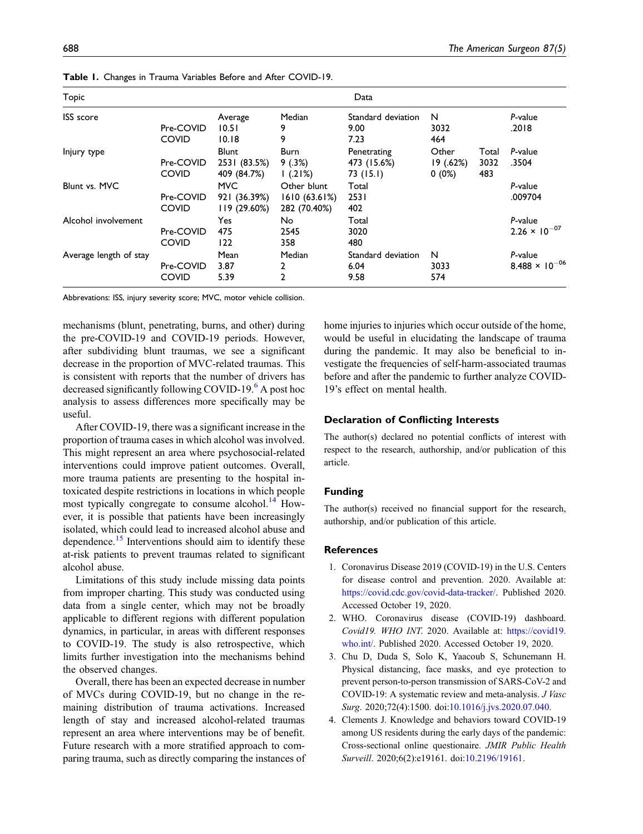| <b>Topic</b>           |              |              |              | Data               |           |       |                                  |
|------------------------|--------------|--------------|--------------|--------------------|-----------|-------|----------------------------------|
| <b>ISS</b> score       |              | Average      | Median       | Standard deviation | N         |       | P-value                          |
|                        | Pre-COVID    | 10.51        | 9            | 9.00               | 3032      |       | .2018                            |
|                        | <b>COVID</b> | 10.18        | 9            | 7.23               | 464       |       |                                  |
| Injury type            |              | <b>Blunt</b> | <b>Burn</b>  | Penetrating        | Other     | Total | P-value                          |
|                        | Pre-COVID    | 2531 (83.5%) | 9(.3%)       | 473 (15.6%)        | 19 (.62%) | 3032  | .3504                            |
|                        | <b>COVID</b> | 409 (84.7%)  | 1(.21%)      | 73 (15.1)          | $0(0\%)$  | 483   |                                  |
| Blunt vs. MVC          |              | <b>MVC</b>   | Other blunt  | Total              |           |       | P-value                          |
|                        | Pre-COVID    | 921 (36.39%) | 1610(63.61%) | 2531               |           |       | .009704                          |
|                        | <b>COVID</b> | 119 (29.60%) | 282 (70.40%) | 402                |           |       |                                  |
| Alcohol involvement    |              | Yes          | No           | Total              |           |       | P-value                          |
|                        | Pre-COVID    | 475          | 2545         | 3020               |           |       | $2.26 \times 10^{-07}$           |
|                        | <b>COVID</b> | 122          | 358          | 480                |           |       |                                  |
| Average length of stay |              | Mean         | Median       | Standard deviation | N         |       | P-value                          |
|                        | Pre-COVID    | 3.87         | 2            | 6.04               | 3033      |       | 8.488 $\times$ 10 <sup>-06</sup> |
|                        | <b>COVID</b> | 5.39         | 2            | 9.58               | 574       |       |                                  |

Table 1. Changes in Trauma Variables Before and After COVID-19.

<span id="page-2-4"></span>Abbrevations: ISS, injury severity score; MVC, motor vehicle collision.

mechanisms (blunt, penetrating, burns, and other) during the pre-COVID-19 and COVID-19 periods. However, after subdividing blunt traumas, we see a significant decrease in the proportion of MVC-related traumas. This is consistent with reports that the number of drivers has decreased significantly following COVID-19.<sup>[6](#page-3-1)</sup> A post hoc analysis to assess differences more specifically may be useful.

After COVID-19, there was a significant increase in the proportion of trauma cases in which alcohol was involved. This might represent an area where psychosocial-related interventions could improve patient outcomes. Overall, more trauma patients are presenting to the hospital intoxicated despite restrictions in locations in which people most typically congregate to consume alcohol.<sup>[14](#page-3-9)</sup> However, it is possible that patients have been increasingly isolated, which could lead to increased alcohol abuse and dependence.<sup>[15](#page-3-10)</sup> Interventions should aim to identify these at-risk patients to prevent traumas related to significant alcohol abuse.

Limitations of this study include missing data points from improper charting. This study was conducted using data from a single center, which may not be broadly applicable to different regions with different population dynamics, in particular, in areas with different responses to COVID-19. The study is also retrospective, which limits further investigation into the mechanisms behind the observed changes.

Overall, there has been an expected decrease in number of MVCs during COVID-19, but no change in the remaining distribution of trauma activations. Increased length of stay and increased alcohol-related traumas represent an area where interventions may be of benefit. Future research with a more stratified approach to comparing trauma, such as directly comparing the instances of home injuries to injuries which occur outside of the home, would be useful in elucidating the landscape of trauma during the pandemic. It may also be beneficial to investigate the frequencies of self-harm-associated traumas before and after the pandemic to further analyze COVID-19's effect on mental health.

#### Declaration of Conflicting Interests

The author(s) declared no potential conflicts of interest with respect to the research, authorship, and/or publication of this article.

#### Funding

The author(s) received no financial support for the research, authorship, and/or publication of this article.

#### **References**

- <span id="page-2-0"></span>1. Coronavirus Disease 2019 (COVID-19) in the U.S. Centers for disease control and prevention. 2020. Available at: <https://covid.cdc.gov/covid-data-tracker/>. Published 2020. Accessed October 19, 2020.
- <span id="page-2-1"></span>2. WHO. Coronavirus disease (COVID-19) dashboard. Covid19. WHO INT. 2020. Available at: [https://covid19.](https://covid19.who.int/) [who.int/](https://covid19.who.int/). Published 2020. Accessed October 19, 2020.
- <span id="page-2-2"></span>3. Chu D, Duda S, Solo K, Yaacoub S, Schunemann H. Physical distancing, face masks, and eye protection to prevent person-to-person transmission of SARS-CoV-2 and COVID-19: A systematic review and meta-analysis. J Vasc Surg. 2020;72(4):1500. doi:[10.1016/j.jvs.2020.07.040](https://doi.org/10.1016/j.jvs.2020.07.040).
- <span id="page-2-3"></span>4. Clements J. Knowledge and behaviors toward COVID-19 among US residents during the early days of the pandemic: Cross-sectional online questionaire. JMIR Public Health Surveill. 2020;6(2):e19161. doi:[10.2196/19161.](https://doi.org/10.2196/19161)